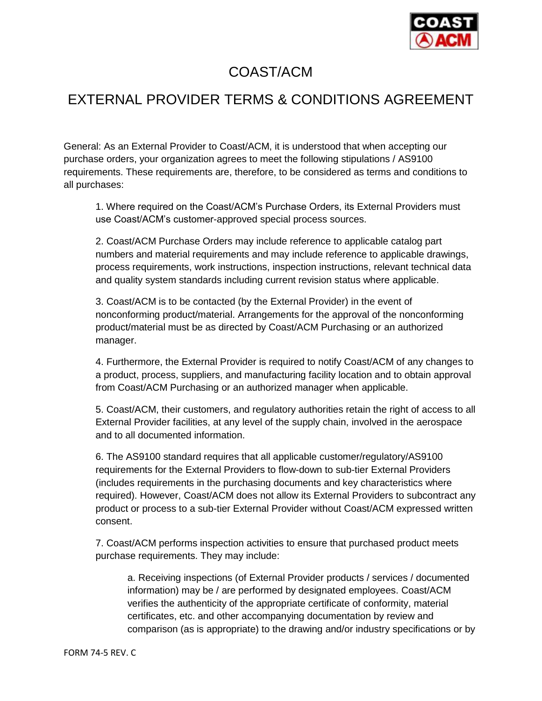

## COAST/ACM

## EXTERNAL PROVIDER TERMS & CONDITIONS AGREEMENT

General: As an External Provider to Coast/ACM, it is understood that when accepting our purchase orders, your organization agrees to meet the following stipulations / AS9100 requirements. These requirements are, therefore, to be considered as terms and conditions to all purchases:

1. Where required on the Coast/ACM's Purchase Orders, its External Providers must use Coast/ACM's customer-approved special process sources.

2. Coast/ACM Purchase Orders may include reference to applicable catalog part numbers and material requirements and may include reference to applicable drawings, process requirements, work instructions, inspection instructions, relevant technical data and quality system standards including current revision status where applicable.

3. Coast/ACM is to be contacted (by the External Provider) in the event of nonconforming product/material. Arrangements for the approval of the nonconforming product/material must be as directed by Coast/ACM Purchasing or an authorized manager.

4. Furthermore, the External Provider is required to notify Coast/ACM of any changes to a product, process, suppliers, and manufacturing facility location and to obtain approval from Coast/ACM Purchasing or an authorized manager when applicable.

5. Coast/ACM, their customers, and regulatory authorities retain the right of access to all External Provider facilities, at any level of the supply chain, involved in the aerospace and to all documented information.

6. The AS9100 standard requires that all applicable customer/regulatory/AS9100 requirements for the External Providers to flow-down to sub-tier External Providers (includes requirements in the purchasing documents and key characteristics where required). However, Coast/ACM does not allow its External Providers to subcontract any product or process to a sub-tier External Provider without Coast/ACM expressed written consent.

7. Coast/ACM performs inspection activities to ensure that purchased product meets purchase requirements. They may include:

a. Receiving inspections (of External Provider products / services / documented information) may be / are performed by designated employees. Coast/ACM verifies the authenticity of the appropriate certificate of conformity, material certificates, etc. and other accompanying documentation by review and comparison (as is appropriate) to the drawing and/or industry specifications or by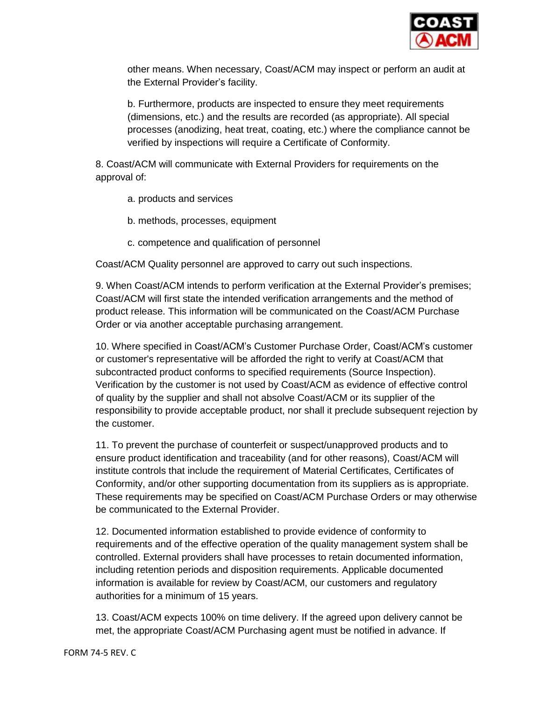

other means. When necessary, Coast/ACM may inspect or perform an audit at the External Provider's facility.

b. Furthermore, products are inspected to ensure they meet requirements (dimensions, etc.) and the results are recorded (as appropriate). All special processes (anodizing, heat treat, coating, etc.) where the compliance cannot be verified by inspections will require a Certificate of Conformity.

8. Coast/ACM will communicate with External Providers for requirements on the approval of:

- a. products and services
- b. methods, processes, equipment
- c. competence and qualification of personnel

Coast/ACM Quality personnel are approved to carry out such inspections.

9. When Coast/ACM intends to perform verification at the External Provider's premises; Coast/ACM will first state the intended verification arrangements and the method of product release. This information will be communicated on the Coast/ACM Purchase Order or via another acceptable purchasing arrangement.

10. Where specified in Coast/ACM's Customer Purchase Order, Coast/ACM's customer or customer's representative will be afforded the right to verify at Coast/ACM that subcontracted product conforms to specified requirements (Source Inspection). Verification by the customer is not used by Coast/ACM as evidence of effective control of quality by the supplier and shall not absolve Coast/ACM or its supplier of the responsibility to provide acceptable product, nor shall it preclude subsequent rejection by the customer.

11. To prevent the purchase of counterfeit or suspect/unapproved products and to ensure product identification and traceability (and for other reasons), Coast/ACM will institute controls that include the requirement of Material Certificates, Certificates of Conformity, and/or other supporting documentation from its suppliers as is appropriate. These requirements may be specified on Coast/ACM Purchase Orders or may otherwise be communicated to the External Provider.

12. Documented information established to provide evidence of conformity to requirements and of the effective operation of the quality management system shall be controlled. External providers shall have processes to retain documented information, including retention periods and disposition requirements. Applicable documented information is available for review by Coast/ACM, our customers and regulatory authorities for a minimum of 15 years.

13. Coast/ACM expects 100% on time delivery. If the agreed upon delivery cannot be met, the appropriate Coast/ACM Purchasing agent must be notified in advance. If